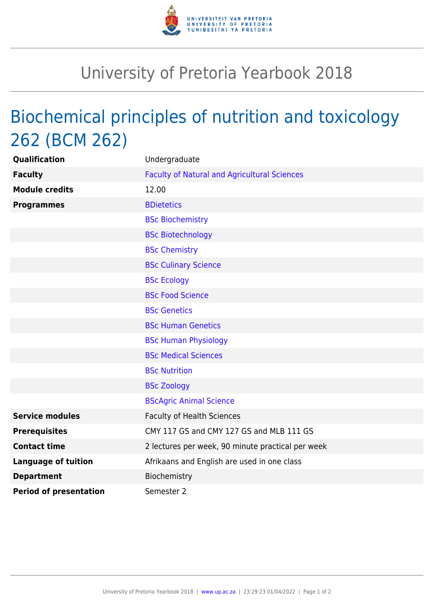

## University of Pretoria Yearbook 2018

## Biochemical principles of nutrition and toxicology 262 (BCM 262)

| Qualification                 | Undergraduate                                       |
|-------------------------------|-----------------------------------------------------|
| <b>Faculty</b>                | <b>Faculty of Natural and Agricultural Sciences</b> |
| <b>Module credits</b>         | 12.00                                               |
| <b>Programmes</b>             | <b>BDietetics</b>                                   |
|                               | <b>BSc Biochemistry</b>                             |
|                               | <b>BSc Biotechnology</b>                            |
|                               | <b>BSc Chemistry</b>                                |
|                               | <b>BSc Culinary Science</b>                         |
|                               | <b>BSc Ecology</b>                                  |
|                               | <b>BSc Food Science</b>                             |
|                               | <b>BSc Genetics</b>                                 |
|                               | <b>BSc Human Genetics</b>                           |
|                               | <b>BSc Human Physiology</b>                         |
|                               | <b>BSc Medical Sciences</b>                         |
|                               | <b>BSc Nutrition</b>                                |
|                               | <b>BSc Zoology</b>                                  |
|                               | <b>BScAgric Animal Science</b>                      |
| <b>Service modules</b>        | <b>Faculty of Health Sciences</b>                   |
| <b>Prerequisites</b>          | CMY 117 GS and CMY 127 GS and MLB 111 GS            |
| <b>Contact time</b>           | 2 lectures per week, 90 minute practical per week   |
| <b>Language of tuition</b>    | Afrikaans and English are used in one class         |
| <b>Department</b>             | Biochemistry                                        |
| <b>Period of presentation</b> | Semester 2                                          |